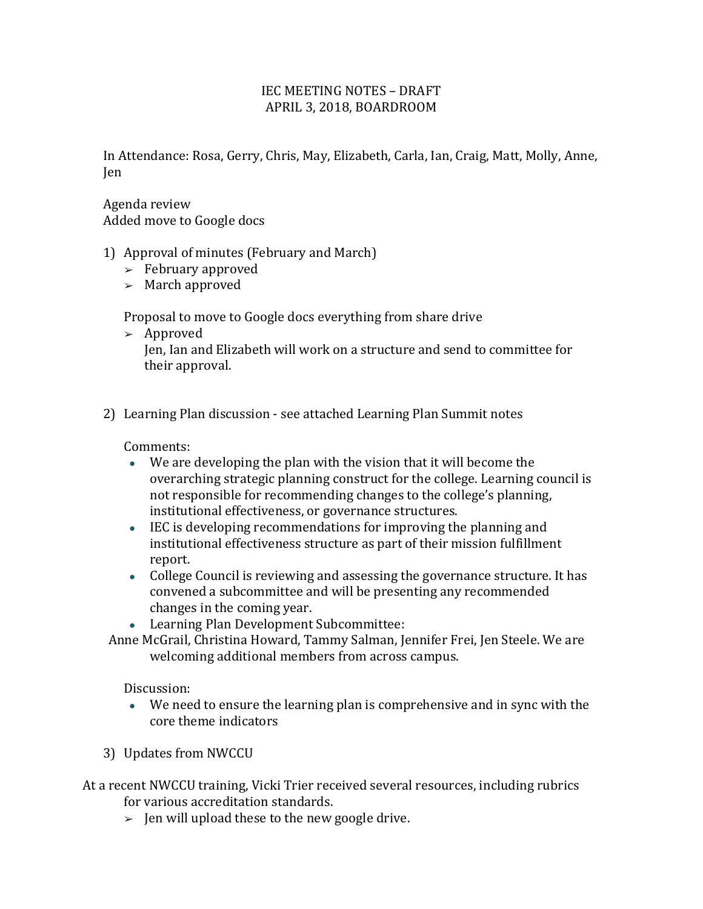## IEC MEETING NOTES – DRAFT APRIL 3, 2018, BOARDROOM

In Attendance: Rosa, Gerry, Chris, May, Elizabeth, Carla, Ian, Craig, Matt, Molly, Anne, Jen

Agenda review Added move to Google docs

- 1) Approval of minutes (February and March)
	- $\geq$  February approved
	- $\geq$  March approved

Proposal to move to Google docs everything from share drive

- $\geq$  Approved Jen, Ian and Elizabeth will work on a structure and send to committee for their approval.
- 2) Learning Plan discussion see attached Learning Plan Summit notes

Comments:

- $\bullet$  We are developing the plan with the vision that it will become the overarching strategic planning construct for the college. Learning council is not responsible for recommending changes to the college's planning, institutional effectiveness, or governance structures.
- IEC is developing recommendations for improving the planning and institutional effectiveness structure as part of their mission fulfillment report.
- College Council is reviewing and assessing the governance structure. It has convened a subcommittee and will be presenting any recommended changes in the coming year.
- Learning Plan Development Subcommittee:
- Anne McGrail, Christina Howard, Tammy Salman, Jennifer Frei, Jen Steele. We are welcoming additional members from across campus.

Discussion:

- We need to ensure the learning plan is comprehensive and in sync with the core theme indicators
- 3) Updates from NWCCU

At a recent NWCCU training, Vicki Trier received several resources, including rubrics for various accreditation standards.

 $\geq$  Jen will upload these to the new google drive.